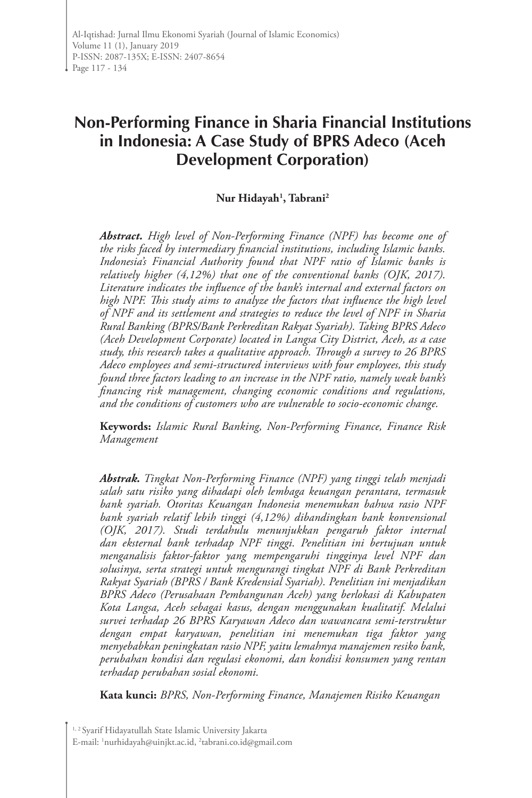# **Non-Performing Finance in Sharia Financial Institutions in Indonesia: A Case Study of BPRS Adeco (Aceh Development Corporation)**

# **Nur Hidayah1 , Tabrani2**

*Abstract. High level of Non-Performing Finance (NPF) has become one of the risks faced by intermediary financial institutions, including Islamic banks. Indonesia's Financial Authority found that NPF ratio of Islamic banks is relatively higher (4,12%) that one of the conventional banks (OJK, 2017). Literature indicates the influence of the bank's internal and external factors on high NPF. This study aims to analyze the factors that influence the high level of NPF and its settlement and strategies to reduce the level of NPF in Sharia Rural Banking (BPRS/Bank Perkreditan Rakyat Syariah). Taking BPRS Adeco (Aceh Development Corporate) located in Langsa City District, Aceh, as a case study, this research takes a qualitative approach. Through a survey to 26 BPRS Adeco employees and semi-structured interviews with four employees, this study found three factors leading to an increase in the NPF ratio, namely weak bank's financing risk management, changing economic conditions and regulations, and the conditions of customers who are vulnerable to socio-economic change.* 

**Keywords:** *Islamic Rural Banking, Non-Performing Finance, Finance Risk Management*

*Abstrak. Tingkat Non-Performing Finance (NPF) yang tinggi telah menjadi salah satu risiko yang dihadapi oleh lembaga keuangan perantara, termasuk bank syariah. Otoritas Keuangan Indonesia menemukan bahwa rasio NPF bank syariah relatif lebih tinggi (4,12%) dibandingkan bank konvensional (OJK, 2017). Studi terdahulu menunjukkan pengaruh faktor internal dan eksternal bank terhadap NPF tinggi. Penelitian ini bertujuan untuk menganalisis faktor-faktor yang mempengaruhi tingginya level NPF dan solusinya, serta strategi untuk mengurangi tingkat NPF di Bank Perkreditan Rakyat Syariah (BPRS / Bank Kredensial Syariah). Penelitian ini menjadikan BPRS Adeco (Perusahaan Pembangunan Aceh) yang berlokasi di Kabupaten Kota Langsa, Aceh sebagai kasus, dengan menggunakan kualitatif. Melalui survei terhadap 26 BPRS Karyawan Adeco dan wawancara semi-terstruktur dengan empat karyawan, penelitian ini menemukan tiga faktor yang menyebabkan peningkatan rasio NPF, yaitu lemahnya manajemen resiko bank, perubahan kondisi dan regulasi ekonomi, dan kondisi konsumen yang rentan terhadap perubahan sosial ekonomi.*

**Kata kunci:** *BPRS, Non-Performing Finance, Manajemen Risiko Keuangan*

<sup>&</sup>lt;sup>1, 2</sup> Syarif Hidayatullah State Islamic University Jakarta E-mail: 1 nurhidayah@uinjkt.ac.id, 2 tabrani.co.id@gmail.com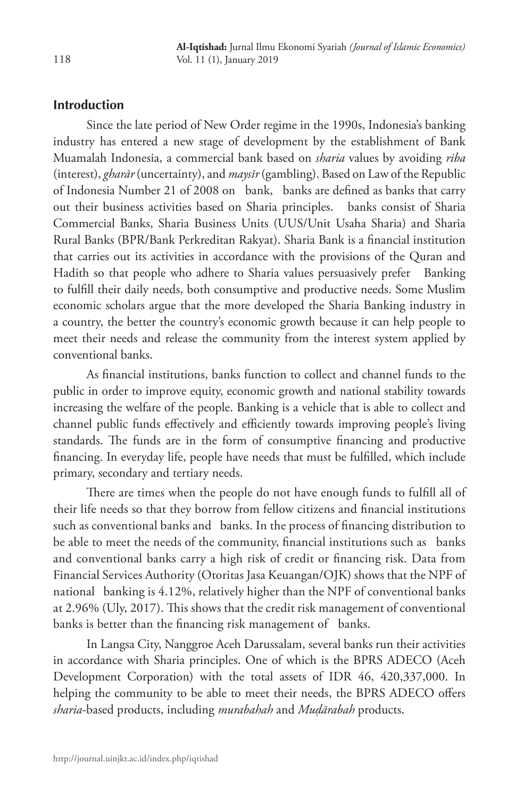# **Introduction**

Since the late period of New Order regime in the 1990s, Indonesia's banking industry has entered a new stage of development by the establishment of Bank Muamalah Indonesia, a commercial bank based on *sharia* values by avoiding *riba* (interest), *gharār* (uncertainty), and *maysīr* (gambling). Based on Law of the Republic of Indonesia Number 21 of 2008 on bank, banks are defined as banks that carry out their business activities based on Sharia principles. banks consist of Sharia Commercial Banks, Sharia Business Units (UUS/Unit Usaha Sharia) and Sharia Rural Banks (BPR/Bank Perkreditan Rakyat). Sharia Bank is a financial institution that carries out its activities in accordance with the provisions of the Quran and Hadith so that people who adhere to Sharia values persuasively prefer Banking to fulfill their daily needs, both consumptive and productive needs. Some Muslim economic scholars argue that the more developed the Sharia Banking industry in a country, the better the country's economic growth because it can help people to meet their needs and release the community from the interest system applied by conventional banks.

As financial institutions, banks function to collect and channel funds to the public in order to improve equity, economic growth and national stability towards increasing the welfare of the people. Banking is a vehicle that is able to collect and channel public funds effectively and efficiently towards improving people's living standards. The funds are in the form of consumptive financing and productive financing. In everyday life, people have needs that must be fulfilled, which include primary, secondary and tertiary needs.

There are times when the people do not have enough funds to fulfill all of their life needs so that they borrow from fellow citizens and financial institutions such as conventional banks and banks. In the process of financing distribution to be able to meet the needs of the community, financial institutions such as banks and conventional banks carry a high risk of credit or financing risk. Data from Financial Services Authority (Otoritas Jasa Keuangan/OJK) shows that the NPF of national banking is 4.12%, relatively higher than the NPF of conventional banks at 2.96% (Uly, 2017). This shows that the credit risk management of conventional banks is better than the financing risk management of banks.

In Langsa City, Nanggroe Aceh Darussalam, several banks run their activities in accordance with Sharia principles. One of which is the BPRS ADECO (Aceh Development Corporation) with the total assets of IDR 46, 420,337,000. In helping the community to be able to meet their needs, the BPRS ADECO offers *sharia*-based products, including *murabahah* and *Muḍārabah* products.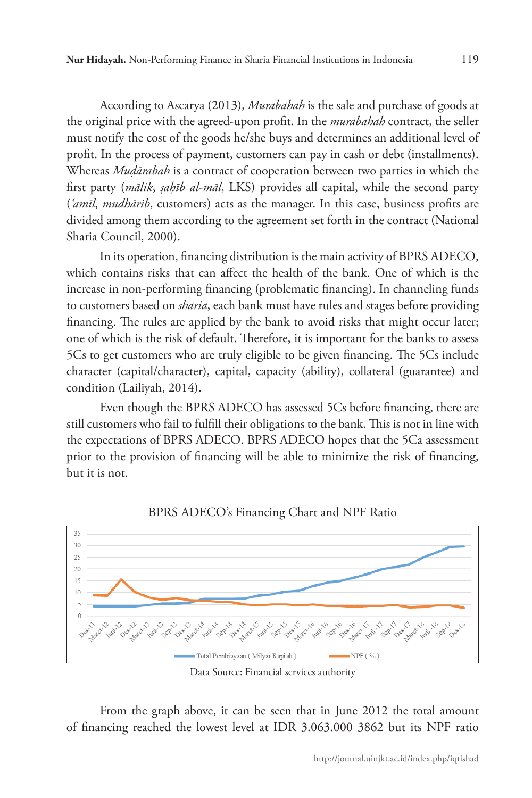According to Ascarya (2013), *Murabahah* is the sale and purchase of goods at the original price with the agreed-upon profit. In the *murabahah* contract, the seller must notify the cost of the goods he/she buys and determines an additional level of profit. In the process of payment, customers can pay in cash or debt (installments). Whereas *Muḍārabah* is a contract of cooperation between two parties in which the first party (*mālik*, *ṣaḥīb al-māl*, LKS) provides all capital, while the second party (*'amīl*, *mudhārib*, customers) acts as the manager. In this case, business profits are divided among them according to the agreement set forth in the contract (National Sharia Council, 2000).

In its operation, financing distribution is the main activity of BPRS ADECO, which contains risks that can affect the health of the bank. One of which is the increase in non-performing financing (problematic financing). In channeling funds to customers based on *sharia*, each bank must have rules and stages before providing financing. The rules are applied by the bank to avoid risks that might occur later; one of which is the risk of default. Therefore, it is important for the banks to assess 5Cs to get customers who are truly eligible to be given financing. The 5Cs include character (capital/character), capital, capacity (ability), collateral (guarantee) and condition (Lailiyah, 2014).

Even though the BPRS ADECO has assessed 5Cs before financing, there are still customers who fail to fulfill their obligations to the bank. This is not in line with the expectations of BPRS ADECO. BPRS ADECO hopes that the 5Ca assessment prior to the provision of financing will be able to minimize the risk of financing, but it is not.



BPRS ADECO's Financing Chart and NPF Ratio

From the graph above, it can be seen that in June 2012 the total amount of financing reached the lowest level at IDR 3.063.000 3862 but its NPF ratio

Data Source: Financial services authority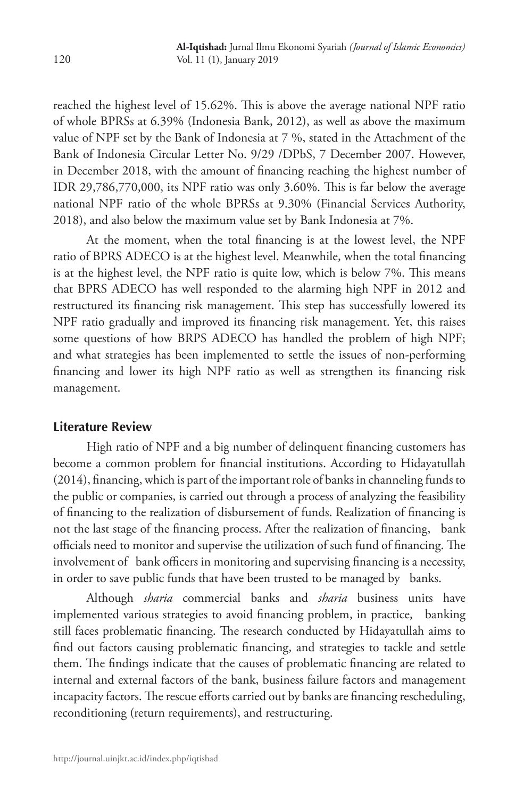reached the highest level of 15.62%. This is above the average national NPF ratio of whole BPRSs at 6.39% (Indonesia Bank, 2012), as well as above the maximum value of NPF set by the Bank of Indonesia at 7 %, stated in the Attachment of the Bank of Indonesia Circular Letter No. 9/29 /DPbS, 7 December 2007. However, in December 2018, with the amount of financing reaching the highest number of IDR 29,786,770,000, its NPF ratio was only 3.60%. This is far below the average national NPF ratio of the whole BPRSs at 9.30% (Financial Services Authority, 2018), and also below the maximum value set by Bank Indonesia at 7%.

At the moment, when the total financing is at the lowest level, the NPF ratio of BPRS ADECO is at the highest level. Meanwhile, when the total financing is at the highest level, the NPF ratio is quite low, which is below 7%. This means that BPRS ADECO has well responded to the alarming high NPF in 2012 and restructured its financing risk management. This step has successfully lowered its NPF ratio gradually and improved its financing risk management. Yet, this raises some questions of how BRPS ADECO has handled the problem of high NPF; and what strategies has been implemented to settle the issues of non-performing financing and lower its high NPF ratio as well as strengthen its financing risk management.

# **Literature Review**

High ratio of NPF and a big number of delinquent financing customers has become a common problem for financial institutions. According to Hidayatullah (2014), financing, which is part of the important role of banks in channeling funds to the public or companies, is carried out through a process of analyzing the feasibility of financing to the realization of disbursement of funds. Realization of financing is not the last stage of the financing process. After the realization of financing, bank officials need to monitor and supervise the utilization of such fund of financing. The involvement of bank officers in monitoring and supervising financing is a necessity, in order to save public funds that have been trusted to be managed by banks.

Although *sharia* commercial banks and *sharia* business units have implemented various strategies to avoid financing problem, in practice, banking still faces problematic financing. The research conducted by Hidayatullah aims to find out factors causing problematic financing, and strategies to tackle and settle them. The findings indicate that the causes of problematic financing are related to internal and external factors of the bank, business failure factors and management incapacity factors. The rescue efforts carried out by banks are financing rescheduling, reconditioning (return requirements), and restructuring.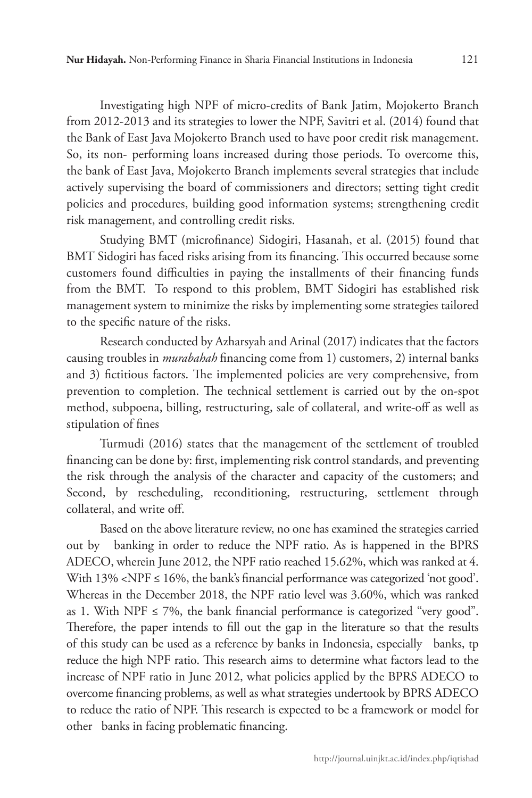Investigating high NPF of micro-credits of Bank Jatim, Mojokerto Branch from 2012-2013 and its strategies to lower the NPF, Savitri et al. (2014) found that the Bank of East Java Mojokerto Branch used to have poor credit risk management. So, its non- performing loans increased during those periods. To overcome this, the bank of East Java, Mojokerto Branch implements several strategies that include actively supervising the board of commissioners and directors; setting tight credit policies and procedures, building good information systems; strengthening credit risk management, and controlling credit risks.

Studying BMT (microfinance) Sidogiri, Hasanah, et al. (2015) found that BMT Sidogiri has faced risks arising from its financing. This occurred because some customers found difficulties in paying the installments of their financing funds from the BMT. To respond to this problem, BMT Sidogiri has established risk management system to minimize the risks by implementing some strategies tailored to the specific nature of the risks.

Research conducted by Azharsyah and Arinal (2017) indicates that the factors causing troubles in *murabahah* financing come from 1) customers, 2) internal banks and 3) fictitious factors. The implemented policies are very comprehensive, from prevention to completion. The technical settlement is carried out by the on-spot method, subpoena, billing, restructuring, sale of collateral, and write-off as well as stipulation of fines

Turmudi (2016) states that the management of the settlement of troubled financing can be done by: first, implementing risk control standards, and preventing the risk through the analysis of the character and capacity of the customers; and Second, by rescheduling, reconditioning, restructuring, settlement through collateral, and write off.

Based on the above literature review, no one has examined the strategies carried out by banking in order to reduce the NPF ratio. As is happened in the BPRS ADECO, wherein June 2012, the NPF ratio reached 15.62%, which was ranked at 4. With  $13\%$  <NPF  $\leq 16\%$ , the bank's financial performance was categorized 'not good'. Whereas in the December 2018, the NPF ratio level was 3.60%, which was ranked as 1. With NPF  $\leq$  7%, the bank financial performance is categorized "very good". Therefore, the paper intends to fill out the gap in the literature so that the results of this study can be used as a reference by banks in Indonesia, especially banks, tp reduce the high NPF ratio. This research aims to determine what factors lead to the increase of NPF ratio in June 2012, what policies applied by the BPRS ADECO to overcome financing problems, as well as what strategies undertook by BPRS ADECO to reduce the ratio of NPF. This research is expected to be a framework or model for other banks in facing problematic financing.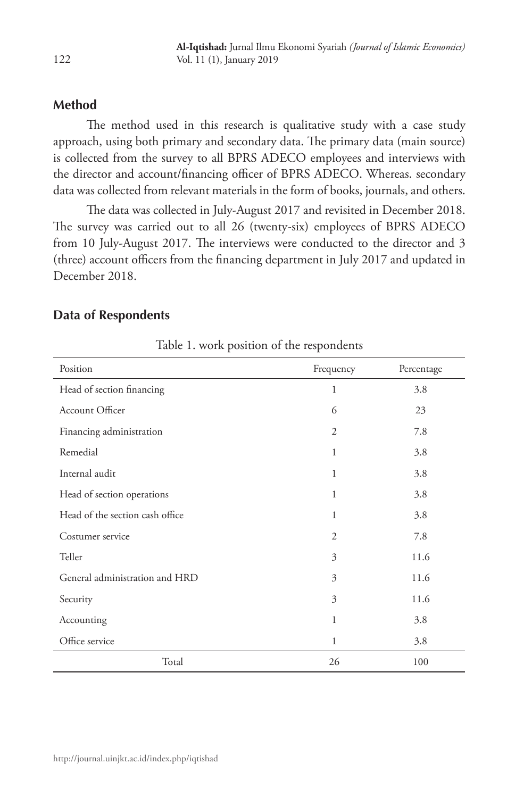# **Method**

The method used in this research is qualitative study with a case study approach, using both primary and secondary data. The primary data (main source) is collected from the survey to all BPRS ADECO employees and interviews with the director and account/financing officer of BPRS ADECO. Whereas. secondary data was collected from relevant materials in the form of books, journals, and others.

The data was collected in July-August 2017 and revisited in December 2018. The survey was carried out to all 26 (twenty-six) employees of BPRS ADECO from 10 July-August 2017. The interviews were conducted to the director and 3 (three) account officers from the financing department in July 2017 and updated in December 2018.

# **Data of Respondents**

| Position                        | Frequency      | Percentage |
|---------------------------------|----------------|------------|
| Head of section financing       | 1              | 3.8        |
| Account Officer                 | 6              | 23         |
| Financing administration        | $\overline{2}$ | 7.8        |
| Remedial                        | 1              | 3.8        |
| Internal audit                  | 1              | 3.8        |
| Head of section operations      | 1              | 3.8        |
| Head of the section cash office | 1              | 3.8        |
| Costumer service                | $\overline{2}$ | 7.8        |
| Teller                          | 3              | 11.6       |
| General administration and HRD  | 3              | 11.6       |
| Security                        | 3              | 11.6       |
| Accounting                      | 1              | 3.8        |
| Office service                  | 1              | 3.8        |
| Total                           | 26             | 100        |

Table 1. work position of the respondents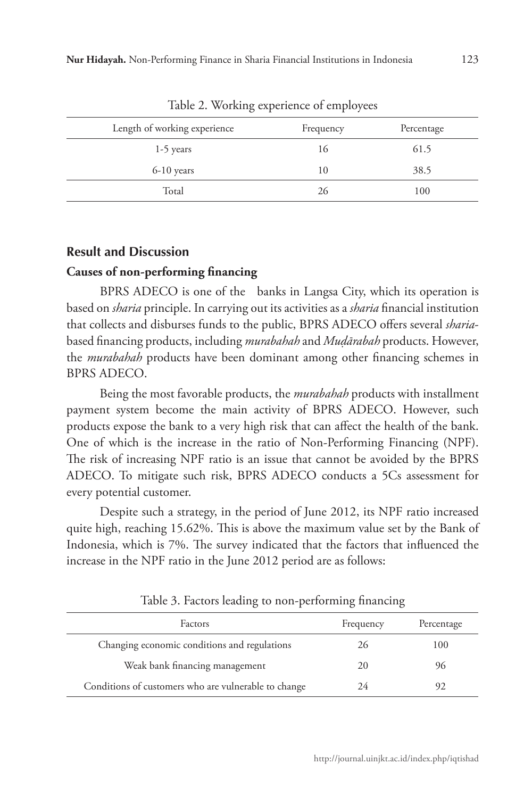| Length of working experience |           |            |
|------------------------------|-----------|------------|
|                              | Frequency | Percentage |
| $1-5$ years                  | 16        | 61.5       |
| $6-10$ years                 | 10        | 38.5       |
| Total                        | 26        | 100        |
|                              |           |            |

Table 2. Working experience of employees

### **Result and Discussion**

# **Causes of non-performing financing**

BPRS ADECO is one of the banks in Langsa City, which its operation is based on *sharia* principle. In carrying out its activities as a *sharia* financial institution that collects and disburses funds to the public, BPRS ADECO offers several *sharia*based financing products, including *murabahah* and *Muḍārabah* products. However, the *murabahah* products have been dominant among other financing schemes in BPRS ADECO.

Being the most favorable products, the *murabahah* products with installment payment system become the main activity of BPRS ADECO. However, such products expose the bank to a very high risk that can affect the health of the bank. One of which is the increase in the ratio of Non-Performing Financing (NPF). The risk of increasing NPF ratio is an issue that cannot be avoided by the BPRS ADECO. To mitigate such risk, BPRS ADECO conducts a 5Cs assessment for every potential customer.

Despite such a strategy, in the period of June 2012, its NPF ratio increased quite high, reaching 15.62%. This is above the maximum value set by the Bank of Indonesia, which is 7%. The survey indicated that the factors that influenced the increase in the NPF ratio in the June 2012 period are as follows:

| Factors                                              | Frequency | Percentage |
|------------------------------------------------------|-----------|------------|
| Changing economic conditions and regulations         | 26        | 100        |
| Weak bank financing management                       | 20        | 96         |
| Conditions of customers who are vulnerable to change | 24        |            |

Table 3. Factors leading to non-performing financing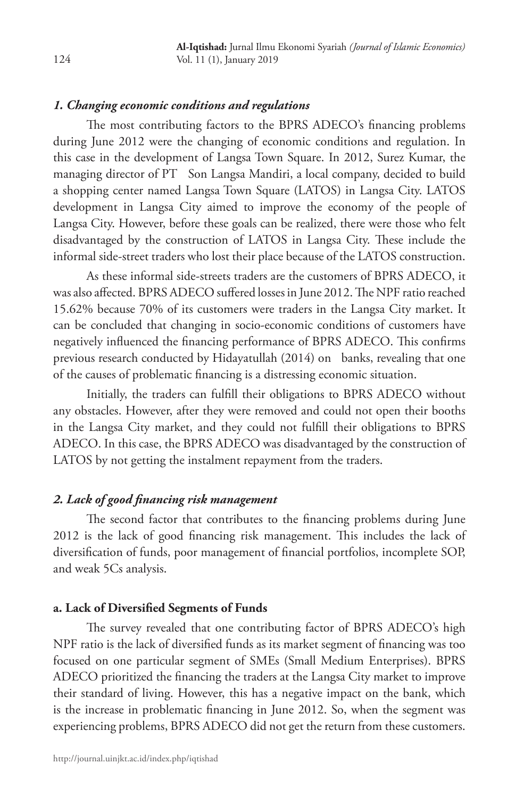# *1. Changing economic conditions and regulations*

The most contributing factors to the BPRS ADECO's financing problems during June 2012 were the changing of economic conditions and regulation. In this case in the development of Langsa Town Square. In 2012, Surez Kumar, the managing director of PT Son Langsa Mandiri, a local company, decided to build a shopping center named Langsa Town Square (LATOS) in Langsa City. LATOS development in Langsa City aimed to improve the economy of the people of Langsa City. However, before these goals can be realized, there were those who felt disadvantaged by the construction of LATOS in Langsa City. These include the informal side-street traders who lost their place because of the LATOS construction.

As these informal side-streets traders are the customers of BPRS ADECO, it was also affected. BPRS ADECO suffered losses in June 2012. The NPF ratio reached 15.62% because 70% of its customers were traders in the Langsa City market. It can be concluded that changing in socio-economic conditions of customers have negatively influenced the financing performance of BPRS ADECO. This confirms previous research conducted by Hidayatullah (2014) on banks, revealing that one of the causes of problematic financing is a distressing economic situation.

Initially, the traders can fulfill their obligations to BPRS ADECO without any obstacles. However, after they were removed and could not open their booths in the Langsa City market, and they could not fulfill their obligations to BPRS ADECO. In this case, the BPRS ADECO was disadvantaged by the construction of LATOS by not getting the instalment repayment from the traders.

# *2. Lack of good financing risk management*

The second factor that contributes to the financing problems during June 2012 is the lack of good financing risk management. This includes the lack of diversification of funds, poor management of financial portfolios, incomplete SOP, and weak 5Cs analysis.

### **a. Lack of Diversified Segments of Funds**

The survey revealed that one contributing factor of BPRS ADECO's high NPF ratio is the lack of diversified funds as its market segment of financing was too focused on one particular segment of SMEs (Small Medium Enterprises). BPRS ADECO prioritized the financing the traders at the Langsa City market to improve their standard of living. However, this has a negative impact on the bank, which is the increase in problematic financing in June 2012. So, when the segment was experiencing problems, BPRS ADECO did not get the return from these customers.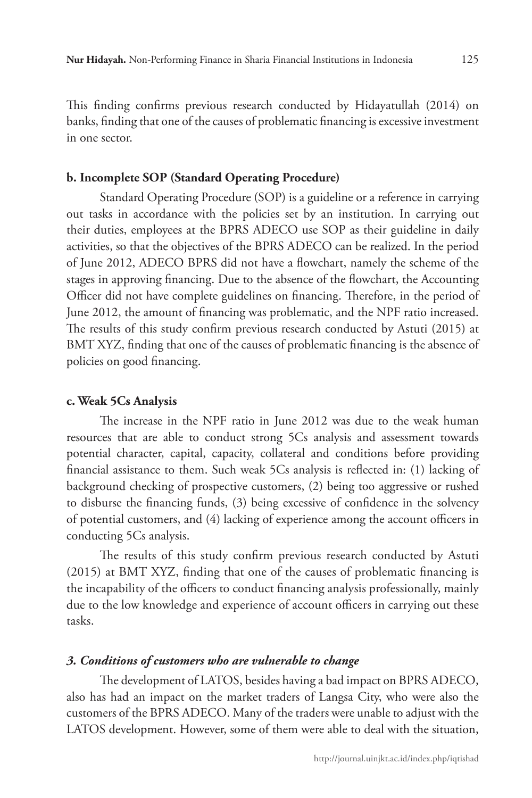This finding confirms previous research conducted by Hidayatullah (2014) on banks, finding that one of the causes of problematic financing is excessive investment in one sector.

### **b. Incomplete SOP (Standard Operating Procedure)**

Standard Operating Procedure (SOP) is a guideline or a reference in carrying out tasks in accordance with the policies set by an institution. In carrying out their duties, employees at the BPRS ADECO use SOP as their guideline in daily activities, so that the objectives of the BPRS ADECO can be realized. In the period of June 2012, ADECO BPRS did not have a flowchart, namely the scheme of the stages in approving financing. Due to the absence of the flowchart, the Accounting Officer did not have complete guidelines on financing. Therefore, in the period of June 2012, the amount of financing was problematic, and the NPF ratio increased. The results of this study confirm previous research conducted by Astuti (2015) at BMT XYZ, finding that one of the causes of problematic financing is the absence of policies on good financing.

### **c. Weak 5Cs Analysis**

The increase in the NPF ratio in June 2012 was due to the weak human resources that are able to conduct strong 5Cs analysis and assessment towards potential character, capital, capacity, collateral and conditions before providing financial assistance to them. Such weak 5Cs analysis is reflected in: (1) lacking of background checking of prospective customers, (2) being too aggressive or rushed to disburse the financing funds, (3) being excessive of confidence in the solvency of potential customers, and (4) lacking of experience among the account officers in conducting 5Cs analysis.

The results of this study confirm previous research conducted by Astuti (2015) at BMT XYZ, finding that one of the causes of problematic financing is the incapability of the officers to conduct financing analysis professionally, mainly due to the low knowledge and experience of account officers in carrying out these tasks.

### *3. Conditions of customers who are vulnerable to change*

The development of LATOS, besides having a bad impact on BPRS ADECO, also has had an impact on the market traders of Langsa City, who were also the customers of the BPRS ADECO. Many of the traders were unable to adjust with the LATOS development. However, some of them were able to deal with the situation,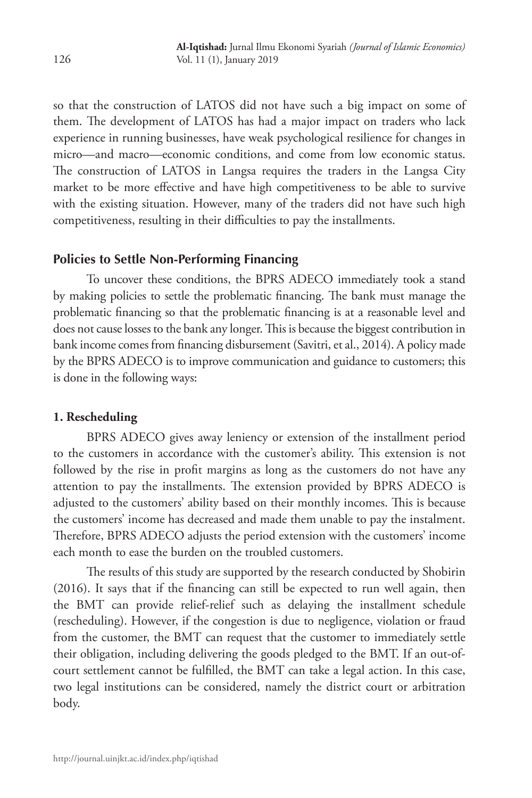so that the construction of LATOS did not have such a big impact on some of them. The development of LATOS has had a major impact on traders who lack experience in running businesses, have weak psychological resilience for changes in micro—and macro—economic conditions, and come from low economic status. The construction of LATOS in Langsa requires the traders in the Langsa City market to be more effective and have high competitiveness to be able to survive with the existing situation. However, many of the traders did not have such high competitiveness, resulting in their difficulties to pay the installments.

# **Policies to Settle Non-Performing Financing**

To uncover these conditions, the BPRS ADECO immediately took a stand by making policies to settle the problematic financing. The bank must manage the problematic financing so that the problematic financing is at a reasonable level and does not cause losses to the bank any longer. This is because the biggest contribution in bank income comes from financing disbursement (Savitri, et al., 2014). A policy made by the BPRS ADECO is to improve communication and guidance to customers; this is done in the following ways:

# **1. Rescheduling**

BPRS ADECO gives away leniency or extension of the installment period to the customers in accordance with the customer's ability. This extension is not followed by the rise in profit margins as long as the customers do not have any attention to pay the installments. The extension provided by BPRS ADECO is adjusted to the customers' ability based on their monthly incomes. This is because the customers' income has decreased and made them unable to pay the instalment. Therefore, BPRS ADECO adjusts the period extension with the customers' income each month to ease the burden on the troubled customers.

The results of this study are supported by the research conducted by Shobirin (2016). It says that if the financing can still be expected to run well again, then the BMT can provide relief-relief such as delaying the installment schedule (rescheduling). However, if the congestion is due to negligence, violation or fraud from the customer, the BMT can request that the customer to immediately settle their obligation, including delivering the goods pledged to the BMT. If an out-ofcourt settlement cannot be fulfilled, the BMT can take a legal action. In this case, two legal institutions can be considered, namely the district court or arbitration body.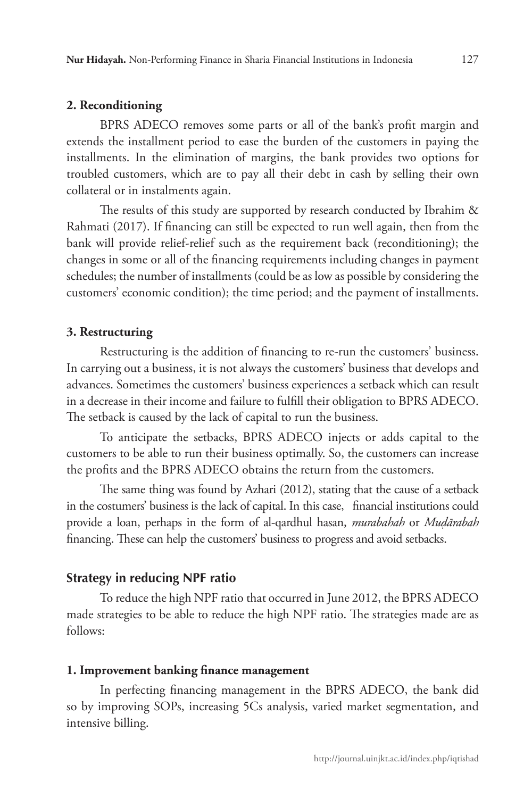### **2. Reconditioning**

BPRS ADECO removes some parts or all of the bank's profit margin and extends the installment period to ease the burden of the customers in paying the installments. In the elimination of margins, the bank provides two options for troubled customers, which are to pay all their debt in cash by selling their own collateral or in instalments again.

The results of this study are supported by research conducted by Ibrahim & Rahmati (2017). If financing can still be expected to run well again, then from the bank will provide relief-relief such as the requirement back (reconditioning); the changes in some or all of the financing requirements including changes in payment schedules; the number of installments (could be as low as possible by considering the customers' economic condition); the time period; and the payment of installments.

### **3. Restructuring**

Restructuring is the addition of financing to re-run the customers' business. In carrying out a business, it is not always the customers' business that develops and advances. Sometimes the customers' business experiences a setback which can result in a decrease in their income and failure to fulfill their obligation to BPRS ADECO. The setback is caused by the lack of capital to run the business.

To anticipate the setbacks, BPRS ADECO injects or adds capital to the customers to be able to run their business optimally. So, the customers can increase the profits and the BPRS ADECO obtains the return from the customers.

The same thing was found by Azhari (2012), stating that the cause of a setback in the costumers' business is the lack of capital. In this case, financial institutions could provide a loan, perhaps in the form of al-qardhul hasan, *murabahah* or *Muḍārabah* financing. These can help the customers' business to progress and avoid setbacks.

### **Strategy in reducing NPF ratio**

To reduce the high NPF ratio that occurred in June 2012, the BPRS ADECO made strategies to be able to reduce the high NPF ratio. The strategies made are as follows:

#### **1. Improvement banking finance management**

In perfecting financing management in the BPRS ADECO, the bank did so by improving SOPs, increasing 5Cs analysis, varied market segmentation, and intensive billing.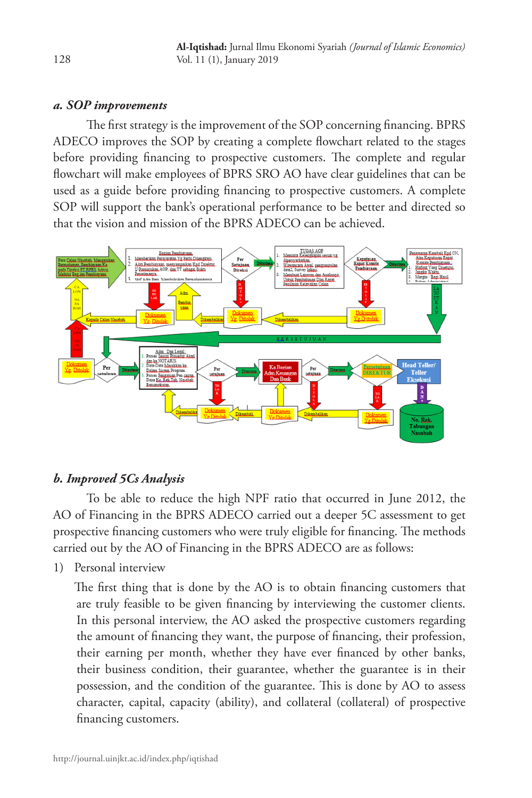# *a. SOP improvements*

The first strategy is the improvement of the SOP concerning financing. BPRS ADECO improves the SOP by creating a complete flowchart related to the stages before providing financing to prospective customers. The complete and regular flowchart will make employees of BPRS SRO AO have clear guidelines that can be used as a guide before providing financing to prospective customers. A complete SOP will support the bank's operational performance to be better and directed so that the vision and mission of the BPRS ADECO can be achieved.



# *b. Improved 5Cs Analysis*

To be able to reduce the high NPF ratio that occurred in June 2012, the AO of Financing in the BPRS ADECO carried out a deeper 5C assessment to get prospective financing customers who were truly eligible for financing. The methods carried out by the AO of Financing in the BPRS ADECO are as follows:

1) Personal interview

The first thing that is done by the AO is to obtain financing customers that are truly feasible to be given financing by interviewing the customer clients. In this personal interview, the AO asked the prospective customers regarding the amount of financing they want, the purpose of financing, their profession, their earning per month, whether they have ever financed by other banks, their business condition, their guarantee, whether the guarantee is in their possession, and the condition of the guarantee. This is done by AO to assess character, capital, capacity (ability), and collateral (collateral) of prospective financing customers.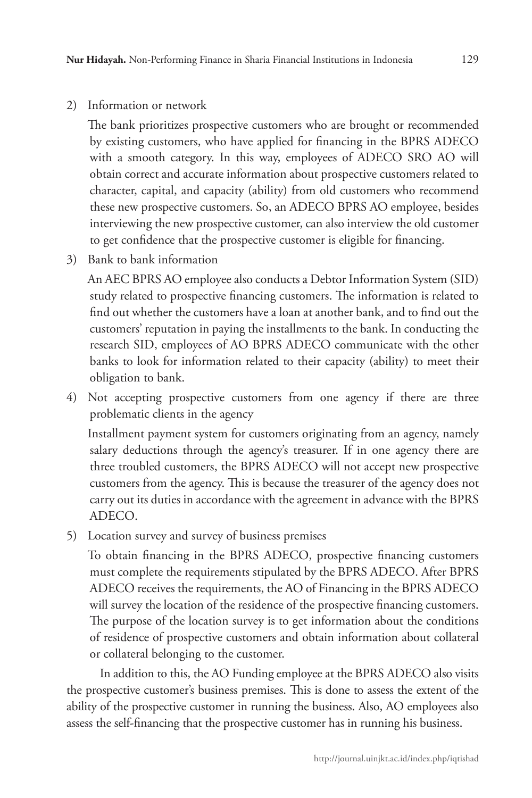2) Information or network

The bank prioritizes prospective customers who are brought or recommended by existing customers, who have applied for financing in the BPRS ADECO with a smooth category. In this way, employees of ADECO SRO AO will obtain correct and accurate information about prospective customers related to character, capital, and capacity (ability) from old customers who recommend these new prospective customers. So, an ADECO BPRS AO employee, besides interviewing the new prospective customer, can also interview the old customer to get confidence that the prospective customer is eligible for financing.

3) Bank to bank information

An AEC BPRS AO employee also conducts a Debtor Information System (SID) study related to prospective financing customers. The information is related to find out whether the customers have a loan at another bank, and to find out the customers' reputation in paying the installments to the bank. In conducting the research SID, employees of AO BPRS ADECO communicate with the other banks to look for information related to their capacity (ability) to meet their obligation to bank.

4) Not accepting prospective customers from one agency if there are three problematic clients in the agency

Installment payment system for customers originating from an agency, namely salary deductions through the agency's treasurer. If in one agency there are three troubled customers, the BPRS ADECO will not accept new prospective customers from the agency. This is because the treasurer of the agency does not carry out its duties in accordance with the agreement in advance with the BPRS ADECO.

5) Location survey and survey of business premises

To obtain financing in the BPRS ADECO, prospective financing customers must complete the requirements stipulated by the BPRS ADECO. After BPRS ADECO receives the requirements, the AO of Financing in the BPRS ADECO will survey the location of the residence of the prospective financing customers. The purpose of the location survey is to get information about the conditions of residence of prospective customers and obtain information about collateral or collateral belonging to the customer.

In addition to this, the AO Funding employee at the BPRS ADECO also visits the prospective customer's business premises. This is done to assess the extent of the ability of the prospective customer in running the business. Also, AO employees also assess the self-financing that the prospective customer has in running his business.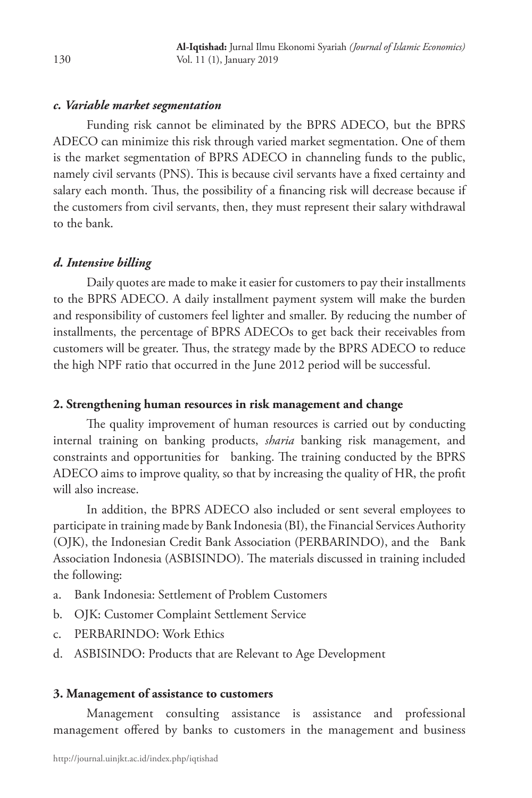### *c. Variable market segmentation*

Funding risk cannot be eliminated by the BPRS ADECO, but the BPRS ADECO can minimize this risk through varied market segmentation. One of them is the market segmentation of BPRS ADECO in channeling funds to the public, namely civil servants (PNS). This is because civil servants have a fixed certainty and salary each month. Thus, the possibility of a financing risk will decrease because if the customers from civil servants, then, they must represent their salary withdrawal to the bank.

# *d. Intensive billing*

Daily quotes are made to make it easier for customers to pay their installments to the BPRS ADECO. A daily installment payment system will make the burden and responsibility of customers feel lighter and smaller. By reducing the number of installments, the percentage of BPRS ADECOs to get back their receivables from customers will be greater. Thus, the strategy made by the BPRS ADECO to reduce the high NPF ratio that occurred in the June 2012 period will be successful.

### **2. Strengthening human resources in risk management and change**

The quality improvement of human resources is carried out by conducting internal training on banking products, *sharia* banking risk management, and constraints and opportunities for banking. The training conducted by the BPRS ADECO aims to improve quality, so that by increasing the quality of HR, the profit will also increase.

In addition, the BPRS ADECO also included or sent several employees to participate in training made by Bank Indonesia (BI), the Financial Services Authority (OJK), the Indonesian Credit Bank Association (PERBARINDO), and the Bank Association Indonesia (ASBISINDO). The materials discussed in training included the following:

- a. Bank Indonesia: Settlement of Problem Customers
- b. OJK: Customer Complaint Settlement Service
- c. PERBARINDO: Work Ethics
- d. ASBISINDO: Products that are Relevant to Age Development

### **3. Management of assistance to customers**

Management consulting assistance is assistance and professional management offered by banks to customers in the management and business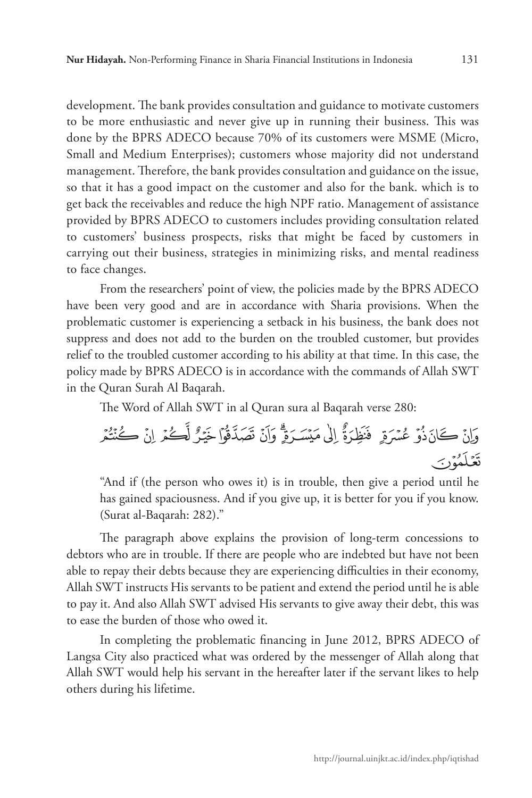development. The bank provides consultation and guidance to motivate customers to be more enthusiastic and never give up in running their business. This was done by the BPRS ADECO because 70% of its customers were MSME (Micro, Small and Medium Enterprises); customers whose majority did not understand management. Therefore, the bank provides consultation and guidance on the issue, so that it has a good impact on the customer and also for the bank. which is to get back the receivables and reduce the high NPF ratio. Management of assistance provided by BPRS ADECO to customers includes providing consultation related to customers' business prospects, risks that might be faced by customers in carrying out their business, strategies in minimizing risks, and mental readiness to face changes.

From the researchers' point of view, the policies made by the BPRS ADECO have been very good and are in accordance with Sharia provisions. When the problematic customer is experiencing a setback in his business, the bank does not suppress and does not add to the burden on the troubled customer, but provides relief to the troubled customer according to his ability at that time. In this case, the policy made by BPRS ADECO is in accordance with the commands of Allah SWT in the Quran Surah Al Baqarah.

The Word of Allah SWT in al Quran sura al Baqarah verse 280:

ې ىى ئا ئا ئەئەئو ئو ئۇ ئۇ ئۆئۆ ئۈ ئۈ ئې

"And if (the person who owes it) is in trouble, then give a period until he has gained spaciousness. And if you give up, it is better for you if you know. (Surat al-Baqarah: 282)."

The paragraph above explains the provision of long-term concessions to debtors who are in trouble. If there are people who are indebted but have not been able to repay their debts because they are experiencing difficulties in their economy, Allah SWT instructs His servants to be patient and extend the period until he is able to pay it. And also Allah SWT advised His servants to give away their debt, this was to ease the burden of those who owed it.

In completing the problematic financing in June 2012, BPRS ADECO of Langsa City also practiced what was ordered by the messenger of Allah along that Allah SWT would help his servant in the hereafter later if the servant likes to help others during his lifetime.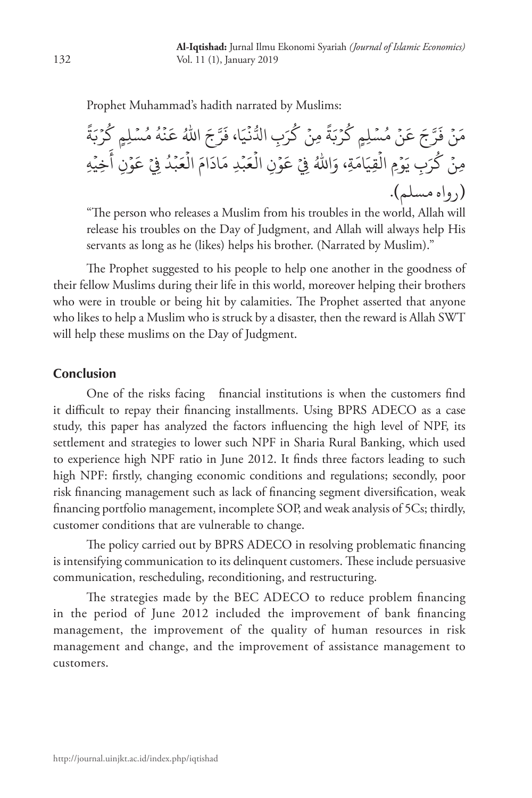Prophet Muhammad's hadith narrated by Muslims:

ً ة َ ب ْ ر ُ ِلٍم ك ْ ُس ُ م ه ْ ن َ ُ ع َ اهلل ج َّ ر َ َا، ف ي ْ ن ُّ ِب ادل َ ر ُ ْ ك ِ من ً ة َ ب ْ ر ُ ِلٍم ك ْ ُس ْ م َن َ ع ج َّ ر َ ْ ف َن م ِه ْ ِخي َ ِن أ ْ و َ ْ ع ِ ف ُ د ْ ب َ ع ْ َ ال َام َاد ِد م ْ ب َ ع ْ ِن ال ْ و َ ْ ع ِ ف ُ َاهلل ِة، و َ َام ِقي ْ ِم ال ْ و َ ِب ي َ ر ُ ْ ك ِمن )رواه مسلم(.

"The person who releases a Muslim from his troubles in the world, Allah will release his troubles on the Day of Judgment, and Allah will always help His servants as long as he (likes) helps his brother. (Narrated by Muslim)."

The Prophet suggested to his people to help one another in the goodness of their fellow Muslims during their life in this world, moreover helping their brothers who were in trouble or being hit by calamities. The Prophet asserted that anyone who likes to help a Muslim who is struck by a disaster, then the reward is Allah SWT will help these muslims on the Day of Judgment.

### **Conclusion**

One of the risks facing financial institutions is when the customers find it difficult to repay their financing installments. Using BPRS ADECO as a case study, this paper has analyzed the factors influencing the high level of NPF, its settlement and strategies to lower such NPF in Sharia Rural Banking, which used to experience high NPF ratio in June 2012. It finds three factors leading to such high NPF: firstly, changing economic conditions and regulations; secondly, poor risk financing management such as lack of financing segment diversification, weak financing portfolio management, incomplete SOP, and weak analysis of 5Cs; thirdly, customer conditions that are vulnerable to change.

The policy carried out by BPRS ADECO in resolving problematic financing is intensifying communication to its delinquent customers. These include persuasive communication, rescheduling, reconditioning, and restructuring.

The strategies made by the BEC ADECO to reduce problem financing in the period of June 2012 included the improvement of bank financing management, the improvement of the quality of human resources in risk management and change, and the improvement of assistance management to customers.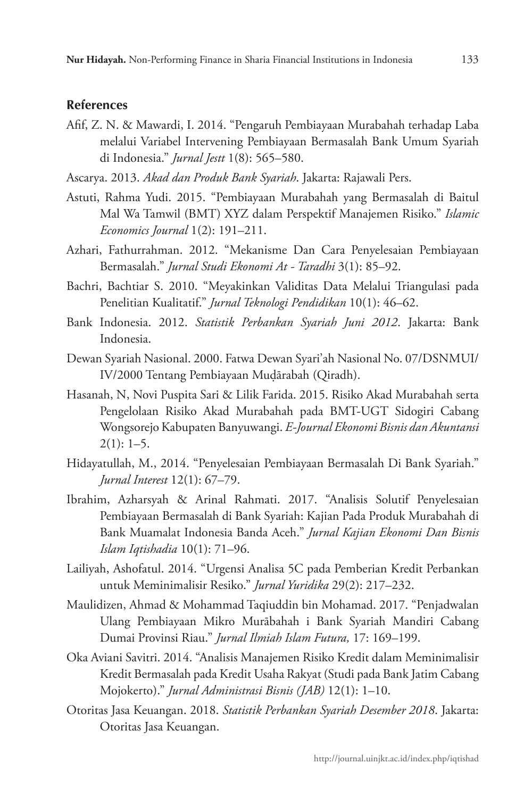### **References**

- Afif, Z. N. & Mawardi, I. 2014. "Pengaruh Pembiayaan Murabahah terhadap Laba melalui Variabel Intervening Pembiayaan Bermasalah Bank Umum Syariah di Indonesia." *Jurnal Jestt* 1(8): 565–580.
- Ascarya. 2013. *Akad dan Produk Bank Syariah*. Jakarta: Rajawali Pers.
- Astuti, Rahma Yudi. 2015. "Pembiayaan Murabahah yang Bermasalah di Baitul Mal Wa Tamwil (BMT) XYZ dalam Perspektif Manajemen Risiko." *Islamic Economics Journal* 1(2): 191–211.
- Azhari, Fathurrahman. 2012. "Mekanisme Dan Cara Penyelesaian Pembiayaan Bermasalah." *Jurnal Studi Ekonomi At - Taradhi* 3(1): 85–92.
- Bachri, Bachtiar S. 2010. "Meyakinkan Validitas Data Melalui Triangulasi pada Penelitian Kualitatif." *Jurnal Teknologi Pendidikan* 10(1): 46–62.
- Bank Indonesia. 2012. *Statistik Perbankan Syariah Juni 2012*. Jakarta: Bank Indonesia.
- Dewan Syariah Nasional. 2000. Fatwa Dewan Syari'ah Nasional No. 07/DSNMUI/ IV/2000 Tentang Pembiayaan Muḍārabah (Qiradh).
- Hasanah, N, Novi Puspita Sari & Lilik Farida. 2015. Risiko Akad Murabahah serta Pengelolaan Risiko Akad Murabahah pada BMT-UGT Sidogiri Cabang Wongsorejo Kabupaten Banyuwangi. *E-Journal Ekonomi Bisnis dan Akuntansi*  $2(1): 1-5.$
- Hidayatullah, M., 2014. "Penyelesaian Pembiayaan Bermasalah Di Bank Syariah." *Jurnal Interest* 12(1): 67–79.
- Ibrahim, Azharsyah & Arinal Rahmati. 2017. "Analisis Solutif Penyelesaian Pembiayaan Bermasalah di Bank Syariah: Kajian Pada Produk Murabahah di Bank Muamalat Indonesia Banda Aceh." *Jurnal Kajian Ekonomi Dan Bisnis Islam Iqtishadia* 10(1): 71–96.
- Lailiyah, Ashofatul. 2014. "Urgensi Analisa 5C pada Pemberian Kredit Perbankan untuk Meminimalisir Resiko." *Jurnal Yuridika* 29(2): 217–232.
- Maulidizen, Ahmad & Mohammad Taqiuddin bin Mohamad. 2017. "Penjadwalan Ulang Pembiayaan Mikro Murābahah i Bank Syariah Mandiri Cabang Dumai Provinsi Riau." *Jurnal Ilmiah Islam Futura,* 17: 169–199.
- Oka Aviani Savitri. 2014. "Analisis Manajemen Risiko Kredit dalam Meminimalisir Kredit Bermasalah pada Kredit Usaha Rakyat (Studi pada Bank Jatim Cabang Mojokerto)." *Jurnal Administrasi Bisnis (JAB)* 12(1): 1–10.
- Otoritas Jasa Keuangan. 2018. *Statistik Perbankan Syariah Desember 2018*. Jakarta: Otoritas Jasa Keuangan.